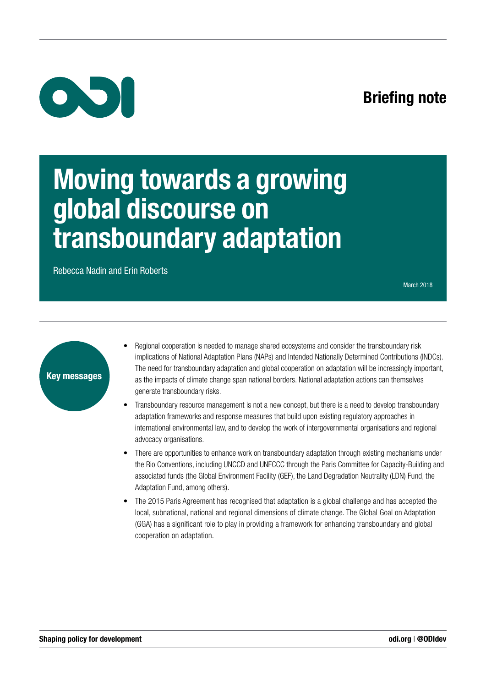# Briefing note



# Moving towards a growing global discourse on transboundary adaptation

Rebecca Nadin and Erin Roberts

March 2018



- Regional cooperation is needed to manage shared ecosystems and consider the transboundary risk implications of National Adaptation Plans (NAPs) and Intended Nationally Determined Contributions (INDCs). The need for transboundary adaptation and global cooperation on adaptation will be increasingly important, as the impacts of climate change span national borders. National adaptation actions can themselves generate transboundary risks.
- Transboundary resource management is not a new concept, but there is a need to develop transboundary adaptation frameworks and response measures that build upon existing regulatory approaches in international environmental law, and to develop the work of intergovernmental organisations and regional advocacy organisations.
- There are opportunities to enhance work on transboundary adaptation through existing mechanisms under the Rio Conventions, including UNCCD and UNFCCC through the Paris Committee for Capacity-Building and associated funds (the Global Environment Facility (GEF), the Land Degradation Neutrality (LDN) Fund, the Adaptation Fund, among others).
- The 2015 Paris Agreement has recognised that adaptation is a global challenge and has accepted the local, subnational, national and regional dimensions of climate change. The Global Goal on Adaptation (GGA) has a significant role to play in providing a framework for enhancing transboundary and global cooperation on adaptation.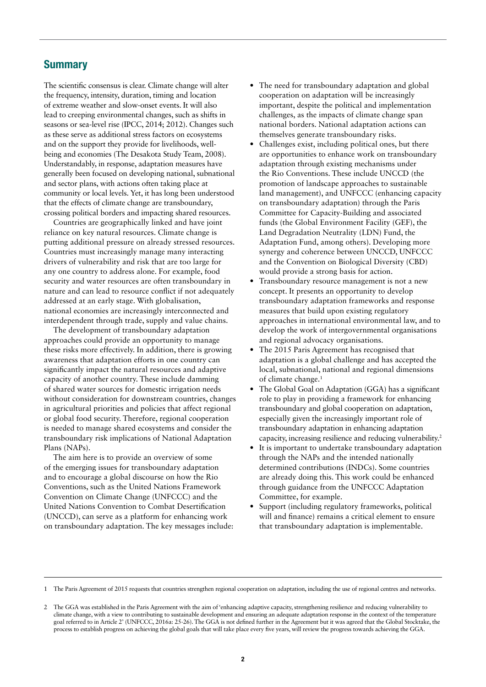### **Summary**

The scientific consensus is clear. Climate change will alter the frequency, intensity, duration, timing and location of extreme weather and slow-onset events. It will also lead to creeping environmental changes, such as shifts in seasons or sea-level rise (IPCC, 2014; 2012). Changes such as these serve as additional stress factors on ecosystems and on the support they provide for livelihoods, wellbeing and economies (The Desakota Study Team, 2008). Understandably, in response, adaptation measures have generally been focused on developing national, subnational and sector plans, with actions often taking place at community or local levels. Yet, it has long been understood that the effects of climate change are transboundary, crossing political borders and impacting shared resources.

Countries are geographically linked and have joint reliance on key natural resources. Climate change is putting additional pressure on already stressed resources. Countries must increasingly manage many interacting drivers of vulnerability and risk that are too large for any one country to address alone. For example, food security and water resources are often transboundary in nature and can lead to resource conflict if not adequately addressed at an early stage. With globalisation, national economies are increasingly interconnected and interdependent through trade, supply and value chains.

The development of transboundary adaptation approaches could provide an opportunity to manage these risks more effectively. In addition, there is growing awareness that adaptation efforts in one country can significantly impact the natural resources and adaptive capacity of another country. These include damming of shared water sources for domestic irrigation needs without consideration for downstream countries, changes in agricultural priorities and policies that affect regional or global food security. Therefore, regional cooperation is needed to manage shared ecosystems and consider the transboundary risk implications of National Adaptation Plans (NAPs).

The aim here is to provide an overview of some of the emerging issues for transboundary adaptation and to encourage a global discourse on how the Rio Conventions, such as the United Nations Framework Convention on Climate Change (UNFCCC) and the United Nations Convention to Combat Desertification (UNCCD), can serve as a platform for enhancing work on transboundary adaptation. The key messages include:

- **•** The need for transboundary adaptation and global cooperation on adaptation will be increasingly important, despite the political and implementation challenges, as the impacts of climate change span national borders. National adaptation actions can themselves generate transboundary risks.
- **•** Challenges exist, including political ones, but there are opportunities to enhance work on transboundary adaptation through existing mechanisms under the Rio Conventions. These include UNCCD (the promotion of landscape approaches to sustainable land management), and UNFCCC (enhancing capacity on transboundary adaptation) through the Paris Committee for Capacity-Building and associated funds (the Global Environment Facility (GEF), the Land Degradation Neutrality (LDN) Fund, the Adaptation Fund, among others). Developing more synergy and coherence between UNCCD, UNFCCC and the Convention on Biological Diversity (CBD) would provide a strong basis for action.
- **•** Transboundary resource management is not a new concept. It presents an opportunity to develop transboundary adaptation frameworks and response measures that build upon existing regulatory approaches in international environmental law, and to develop the work of intergovernmental organisations and regional advocacy organisations.
- **•** The 2015 Paris Agreement has recognised that adaptation is a global challenge and has accepted the local, subnational, national and regional dimensions of climate change.1
- **•** The Global Goal on Adaptation (GGA) has a significant role to play in providing a framework for enhancing transboundary and global cooperation on adaptation, especially given the increasingly important role of transboundary adaptation in enhancing adaptation capacity, increasing resilience and reducing vulnerability.2
- **•** It is important to undertake transboundary adaptation through the NAPs and the intended nationally determined contributions (INDCs). Some countries are already doing this. This work could be enhanced through guidance from the UNFCCC Adaptation Committee, for example.
- **•** Support (including regulatory frameworks, political will and finance) remains a critical element to ensure that transboundary adaptation is implementable.

<sup>1</sup> The Paris Agreement of 2015 requests that countries strengthen regional cooperation on adaptation, including the use of regional centres and networks.

<sup>2</sup> The GGA was established in the Paris Agreement with the aim of 'enhancing adaptive capacity, strengthening resilience and reducing vulnerability to climate change, with a view to contributing to sustainable development and ensuring an adequate adaptation response in the context of the temperature goal referred to in Article 2' (UNFCCC, 2016a: 25-26). The GGA is not defined further in the Agreement but it was agreed that the Global Stocktake, the process to establish progress on achieving the global goals that will take place every five years, will review the progress towards achieving the GGA.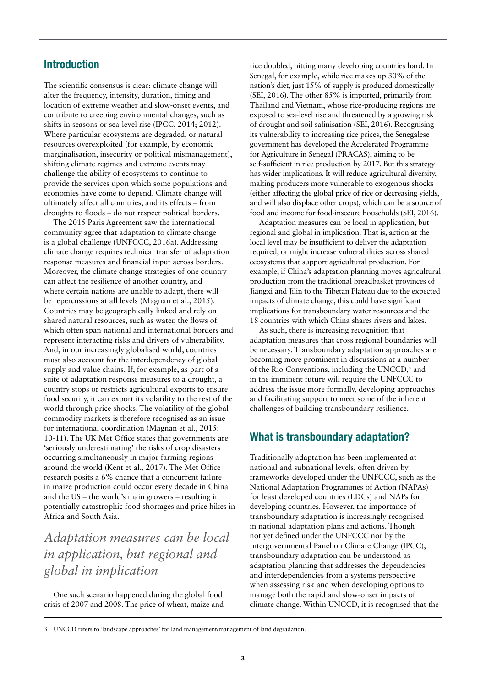### Introduction

The scientific consensus is clear: climate change will alter the frequency, intensity, duration, timing and location of extreme weather and slow-onset events, and contribute to creeping environmental changes, such as shifts in seasons or sea-level rise (IPCC, 2014; 2012). Where particular ecosystems are degraded, or natural resources overexploited (for example, by economic marginalisation, insecurity or political mismanagement), shifting climate regimes and extreme events may challenge the ability of ecosystems to continue to provide the services upon which some populations and economies have come to depend. Climate change will ultimately affect all countries, and its effects – from droughts to floods – do not respect political borders.

The 2015 Paris Agreement saw the international community agree that adaptation to climate change is a global challenge (UNFCCC, 2016a). Addressing climate change requires technical transfer of adaptation response measures and financial input across borders. Moreover, the climate change strategies of one country can affect the resilience of another country, and where certain nations are unable to adapt, there will be repercussions at all levels (Magnan et al., 2015). Countries may be geographically linked and rely on shared natural resources, such as water, the flows of which often span national and international borders and represent interacting risks and drivers of vulnerability. And, in our increasingly globalised world, countries must also account for the interdependency of global supply and value chains. If, for example, as part of a suite of adaptation response measures to a drought, a country stops or restricts agricultural exports to ensure food security, it can export its volatility to the rest of the world through price shocks. The volatility of the global commodity markets is therefore recognised as an issue for international coordination (Magnan et al., 2015: 10-11). The UK Met Office states that governments are 'seriously underestimating' the risks of crop disasters occurring simultaneously in major farming regions around the world (Kent et al., 2017). The Met Office research posits a 6% chance that a concurrent failure in maize production could occur every decade in China and the US – the world's main growers – resulting in potentially catastrophic food shortages and price hikes in Africa and South Asia.

# *Adaptation measures can be local in application, but regional and global in implication*

One such scenario happened during the global food crisis of 2007 and 2008. The price of wheat, maize and rice doubled, hitting many developing countries hard. In Senegal, for example, while rice makes up 30% of the nation's diet, just 15% of supply is produced domestically (SEI, 2016). The other 85% is imported, primarily from Thailand and Vietnam, whose rice-producing regions are exposed to sea-level rise and threatened by a growing risk of drought and soil salinisation (SEI, 2016). Recognising its vulnerability to increasing rice prices, the Senegalese government has developed the Accelerated Programme for Agriculture in Senegal (PRACAS), aiming to be self-sufficient in rice production by 2017. But this strategy has wider implications. It will reduce agricultural diversity, making producers more vulnerable to exogenous shocks (either affecting the global price of rice or decreasing yields, and will also displace other crops), which can be a source of food and income for food-insecure households (SEI, 2016).

Adaptation measures can be local in application, but regional and global in implication. That is, action at the local level may be insufficient to deliver the adaptation required, or might increase vulnerabilities across shared ecosystems that support agricultural production. For example, if China's adaptation planning moves agricultural production from the traditional breadbasket provinces of Jiangxi and Jilin to the Tibetan Plateau due to the expected impacts of climate change, this could have significant implications for transboundary water resources and the 18 countries with which China shares rivers and lakes.

As such, there is increasing recognition that adaptation measures that cross regional boundaries will be necessary. Transboundary adaptation approaches are becoming more prominent in discussions at a number of the Rio Conventions, including the UNCCD,<sup>3</sup> and in the imminent future will require the UNFCCC to address the issue more formally, developing approaches and facilitating support to meet some of the inherent challenges of building transboundary resilience.

### What is transboundary adaptation?

Traditionally adaptation has been implemented at national and subnational levels, often driven by frameworks developed under the UNFCCC, such as the National Adaptation Programmes of Action (NAPAs) for least developed countries (LDCs) and NAPs for developing countries. However, the importance of transboundary adaptation is increasingly recognised in national adaptation plans and actions. Though not yet defined under the UNFCCC nor by the Intergovernmental Panel on Climate Change (IPCC), transboundary adaptation can be understood as adaptation planning that addresses the dependencies and interdependencies from a systems perspective when assessing risk and when developing options to manage both the rapid and slow-onset impacts of climate change. Within UNCCD, it is recognised that the

<sup>3</sup> UNCCD refers to 'landscape approaches' for land management/management of land degradation.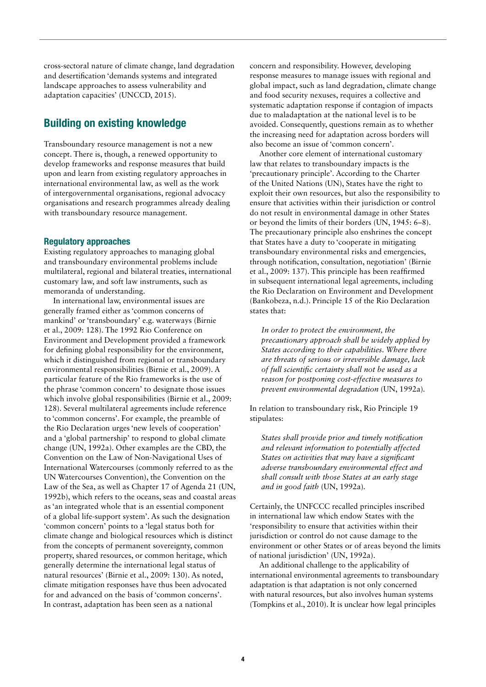cross-sectoral nature of climate change, land degradation and desertification 'demands systems and integrated landscape approaches to assess vulnerability and adaptation capacities' (UNCCD, 2015).

## Building on existing knowledge

Transboundary resource management is not a new concept. There is, though, a renewed opportunity to develop frameworks and response measures that build upon and learn from existing regulatory approaches in international environmental law, as well as the work of intergovernmental organisations, regional advocacy organisations and research programmes already dealing with transboundary resource management.

#### Regulatory approaches

Existing regulatory approaches to managing global and transboundary environmental problems include multilateral, regional and bilateral treaties, international customary law, and soft law instruments, such as memoranda of understanding.

In international law, environmental issues are generally framed either as 'common concerns of mankind' or 'transboundary' e.g. waterways (Birnie et al., 2009: 128). The 1992 Rio Conference on Environment and Development provided a framework for defining global responsibility for the environment, which it distinguished from regional or transboundary environmental responsibilities (Birnie et al., 2009). A particular feature of the Rio frameworks is the use of the phrase 'common concern' to designate those issues which involve global responsibilities (Birnie et al., 2009: 128). Several multilateral agreements include reference to 'common concerns'. For example, the preamble of the Rio Declaration urges 'new levels of cooperation' and a 'global partnership' to respond to global climate change (UN, 1992a). Other examples are the CBD, the Convention on the Law of Non-Navigational Uses of International Watercourses (commonly referred to as the UN Watercourses Convention), the Convention on the Law of the Sea, as well as Chapter 17 of Agenda 21 (UN, 1992b), which refers to the oceans, seas and coastal areas as 'an integrated whole that is an essential component of a global life-support system'. As such the designation 'common concern' points to a 'legal status both for climate change and biological resources which is distinct from the concepts of permanent sovereignty, common property, shared resources, or common heritage, which generally determine the international legal status of natural resources' (Birnie et al., 2009: 130). As noted, climate mitigation responses have thus been advocated for and advanced on the basis of 'common concerns'. In contrast, adaptation has been seen as a national

concern and responsibility. However, developing response measures to manage issues with regional and global impact, such as land degradation, climate change and food security nexuses, requires a collective and systematic adaptation response if contagion of impacts due to maladaptation at the national level is to be avoided. Consequently, questions remain as to whether the increasing need for adaptation across borders will also become an issue of 'common concern'.

Another core element of international customary law that relates to transboundary impacts is the 'precautionary principle'. According to the Charter of the United Nations (UN), States have the right to exploit their own resources, but also the responsibility to ensure that activities within their jurisdiction or control do not result in environmental damage in other States or beyond the limits of their borders (UN, 1945: 6–8). The precautionary principle also enshrines the concept that States have a duty to 'cooperate in mitigating transboundary environmental risks and emergencies, through notification, consultation, negotiation' (Birnie et al., 2009: 137). This principle has been reaffirmed in subsequent international legal agreements, including the Rio Declaration on Environment and Development (Bankobeza, n.d.). Principle 15 of the Rio Declaration states that:

*In order to protect the environment, the precautionary approach shall be widely applied by States according to their capabilities. Where there are threats of serious or irreversible damage, lack of full scientific certainty shall not be used as a reason for postponing cost-effective measures to prevent environmental degradation* (UN, 1992a)*.*

In relation to transboundary risk, Rio Principle 19 stipulates:

*States shall provide prior and timely notification and relevant information to potentially affected States on activities that may have a significant adverse transboundary environmental effect and shall consult with those States at an early stage and in good faith* (UN, 1992a)*.*

Certainly, the UNFCCC recalled principles inscribed in international law which endow States with the 'responsibility to ensure that activities within their jurisdiction or control do not cause damage to the environment or other States or of areas beyond the limits of national jurisdiction' (UN, 1992a).

An additional challenge to the applicability of international environmental agreements to transboundary adaptation is that adaptation is not only concerned with natural resources, but also involves human systems (Tompkins et al., 2010). It is unclear how legal principles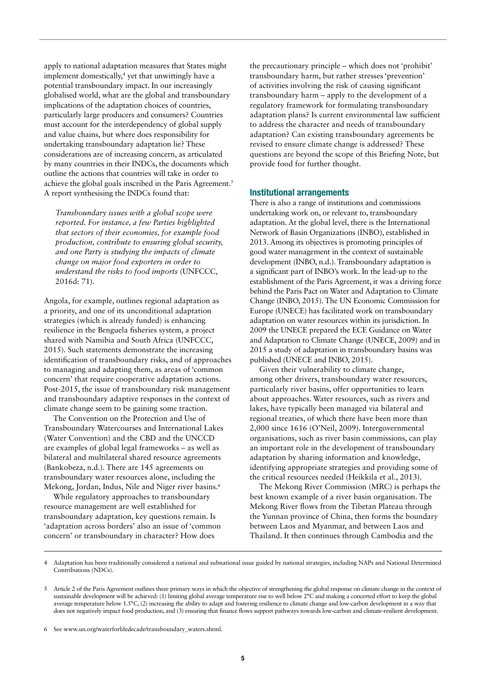apply to national adaptation measures that States might implement domestically,<sup>4</sup> yet that unwittingly have a potential transboundary impact. In our increasingly globalised world, what are the global and transboundary implications of the adaptation choices of countries, particularly large producers and consumers? Countries must account for the interdependency of global supply and value chains, but where does responsibility for undertaking transboundary adaptation lie? These considerations are of increasing concern, as articulated by many countries in their INDCs, the documents which outline the actions that countries will take in order to achieve the global goals inscribed in the Paris Agreement.5 A report synthesising the INDCs found that:

*Transboundary issues with a global scope were reported. For instance, a few Parties highlighted that sectors of their economies, for example food production, contribute to ensuring global security, and one Party is studying the impacts of climate change on major food exporters in order to understand the risks to food imports* (UNFCCC, 2016d: 71)*.*

Angola, for example, outlines regional adaptation as a priority, and one of its unconditional adaptation strategies (which is already funded) is enhancing resilience in the Benguela fisheries system, a project shared with Namibia and South Africa (UNFCCC, 2015). Such statements demonstrate the increasing identification of transboundary risks, and of approaches to managing and adapting them, as areas of 'common concern' that require cooperative adaptation actions. Post-2015, the issue of transboundary risk management and transboundary adaptive responses in the context of climate change seem to be gaining some traction.

The Convention on the Protection and Use of Transboundary Watercourses and International Lakes (Water Convention) and the CBD and the UNCCD are examples of global legal frameworks – as well as bilateral and multilateral shared resource agreements (Bankobeza, n.d.). There are 145 agreements on transboundary water resources alone, including the Mekong, Jordan, Indus, Nile and Niger river basins.<sup>6</sup>

While regulatory approaches to transboundary resource management are well established for transboundary adaptation, key questions remain. Is 'adaptation across borders' also an issue of 'common concern' or transboundary in character? How does

the precautionary principle – which does not 'prohibit' transboundary harm, but rather stresses 'prevention' of activities involving the risk of causing significant transboundary harm – apply to the development of a regulatory framework for formulating transboundary adaptation plans? Is current environmental law sufficient to address the character and needs of transboundary adaptation? Can existing transboundary agreements be revised to ensure climate change is addressed? These questions are beyond the scope of this Briefing Note, but provide food for further thought.

#### Institutional arrangements

There is also a range of institutions and commissions undertaking work on, or relevant to, transboundary adaptation. At the global level, there is the International Network of Basin Organizations (INBO), established in 2013. Among its objectives is promoting principles of good water management in the context of sustainable development (INBO, n.d.). Transboundary adaptation is a significant part of INBO's work. In the lead-up to the establishment of the Paris Agreement, it was a driving force behind the Paris Pact on Water and Adaptation to Climate Change (INBO, 2015). The UN Economic Commission for Europe (UNECE) has facilitated work on transboundary adaptation on water resources within its jurisdiction. In 2009 the UNECE prepared the ECE Guidance on Water and Adaptation to Climate Change (UNECE, 2009) and in 2015 a study of adaptation in transboundary basins was published (UNECE and INBO, 2015).

Given their vulnerability to climate change, among other drivers, transboundary water resources, particularly river basins, offer opportunities to learn about approaches. Water resources, such as rivers and lakes, have typically been managed via bilateral and regional treaties, of which there have been more than 2,000 since 1616 (O'Neil, 2009). Intergovernmental organisations, such as river basin commissions, can play an important role in the development of transboundary adaptation by sharing information and knowledge, identifying appropriate strategies and providing some of the critical resources needed (Heikkila et al., 2013).

The Mekong River Commission (MRC) is perhaps the best known example of a river basin organisation. The Mekong River flows from the Tibetan Plateau through the Yunnan province of China, then forms the boundary between Laos and Myanmar, and between Laos and Thailand. It then continues through Cambodia and the

<sup>4</sup> Adaptation has been traditionally considered a national and subnational issue guided by national strategies, including NAPs and National Determined Contributions (NDCs).

<sup>5</sup> Article 2 of the Paris Agreement outlines three primary ways in which the objective of strengthening the global response on climate change in the context of sustainable development will be achieved: (1) limiting global average temperature rise to well below 2°C and making a concerted effort to keep the global average temperature below  $1.5^{\circ}$ C, (2) increasing the ability to adapt and fostering resilience to climate change and low-carbon development in a way that does not negatively impact food production, and (3) ensuring that finance flows support pathways towards low-carbon and climate-resilient development.

<sup>6</sup> See [www.un.org/waterforlifedecade/transboundary\\_waters.shtml.](http://www.un.org/waterforlifedecade/transboundary_waters.shtml)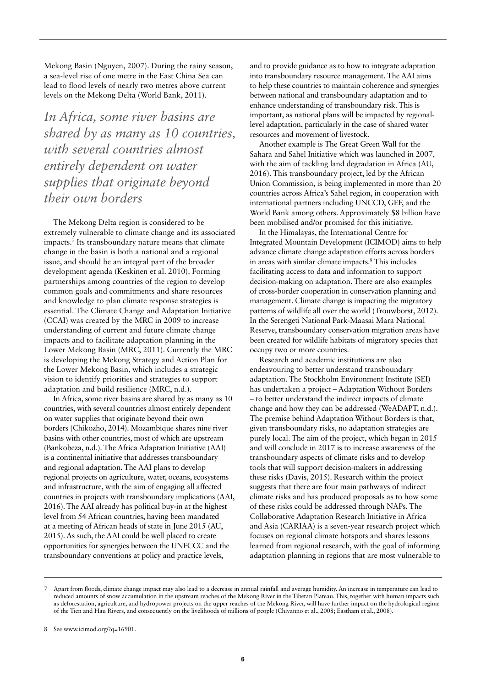Mekong Basin (Nguyen, 2007). During the rainy season, a sea-level rise of one metre in the East China Sea can lead to flood levels of nearly two metres above current levels on the Mekong Delta (World Bank, 2011).

*In Africa, some river basins are shared by as many as 10 countries, with several countries almost entirely dependent on water supplies that originate beyond their own borders*

The Mekong Delta region is considered to be extremely vulnerable to climate change and its associated impacts.7 Its transboundary nature means that climate change in the basin is both a national and a regional issue, and should be an integral part of the broader development agenda (Keskinen et al. 2010). Forming partnerships among countries of the region to develop common goals and commitments and share resources and knowledge to plan climate response strategies is essential. The Climate Change and Adaptation Initiative (CCAI) was created by the MRC in 2009 to increase understanding of current and future climate change impacts and to facilitate adaptation planning in the Lower Mekong Basin (MRC, 2011). Currently the MRC is developing the Mekong Strategy and Action Plan for the Lower Mekong Basin, which includes a strategic vision to identify priorities and strategies to support adaptation and build resilience (MRC, n.d.).

In Africa, some river basins are shared by as many as 10 countries, with several countries almost entirely dependent on water supplies that originate beyond their own borders (Chikozho, 2014). Mozambique shares nine river basins with other countries, most of which are upstream (Bankobeza, n.d.). The Africa Adaptation Initiative (AAI) is a continental initiative that addresses transboundary and regional adaptation. The AAI plans to develop regional projects on agriculture, water, oceans, ecosystems and infrastructure, with the aim of engaging all affected countries in projects with transboundary implications (AAI, 2016). The AAI already has political buy-in at the highest level from 54 African countries, having been mandated at a meeting of African heads of state in June 2015 (AU, 2015). As such, the AAI could be well placed to create opportunities for synergies between the UNFCCC and the transboundary conventions at policy and practice levels,

and to provide guidance as to how to integrate adaptation into transboundary resource management. The AAI aims to help these countries to maintain coherence and synergies between national and transboundary adaptation and to enhance understanding of transboundary risk. This is important, as national plans will be impacted by regionallevel adaptation, particularly in the case of shared water resources and movement of livestock.

Another example is The Great Green Wall for the Sahara and Sahel Initiative which was launched in 2007, with the aim of tackling land degradation in Africa (AU, 2016). This transboundary project, led by the African Union Commission, is being implemented in more than 20 countries across Africa's Sahel region, in cooperation with international partners including UNCCD, GEF, and the World Bank among others. Approximately \$8 billion have been mobilised and/or promised for this initiative.

In the Himalayas, the International Centre for Integrated Mountain Development (ICIMOD) aims to help advance climate change adaptation efforts across borders in areas with similar climate impacts.8 This includes facilitating access to data and information to support decision-making on adaptation. There are also examples of cross-border cooperation in conservation planning and management. Climate change is impacting the migratory patterns of wildlife all over the world (Trouwborst, 2012). In the Serengeti National Park-Maasai Mara National Reserve, transboundary conservation migration areas have been created for wildlife habitats of migratory species that occupy two or more countries.

Research and academic institutions are also endeavouring to better understand transboundary adaptation. The Stockholm Environment Institute (SEI) has undertaken a project – Adaptation Without Borders – to better understand the indirect impacts of climate change and how they can be addressed (WeADAPT, n.d.). The premise behind Adaptation Without Borders is that, given transboundary risks, no adaptation strategies are purely local. The aim of the project, which began in 2015 and will conclude in 2017 is to increase awareness of the transboundary aspects of climate risks and to develop tools that will support decision-makers in addressing these risks (Davis, 2015). Research within the project suggests that there are four main pathways of indirect climate risks and has produced proposals as to how some of these risks could be addressed through NAPs. The Collaborative Adaptation Research Initiative in Africa and Asia (CARIAA) is a seven-year research project which focuses on regional climate hotspots and shares lessons learned from regional research, with the goal of informing adaptation planning in regions that are most vulnerable to

<sup>7</sup> Apart from floods, climate change impact may also lead to a decrease in annual rainfall and average humidity. An increase in temperature can lead to reduced amounts of snow accumulation in the upstream reaches of the Mekong River in the Tibetan Plateau. This, together with human impacts such as deforestation, agriculture, and hydropower projects on the upper reaches of the Mekong River, will have further impact on the hydrological regime of the Tien and Hau Rivers, and consequently on the livelihoods of millions of people (Chivanno et al., 2008; Eastham et al., 2008).

<sup>8</sup> See [www.icimod.org/?q=16901.](http://www.icimod.org/?q=16901.)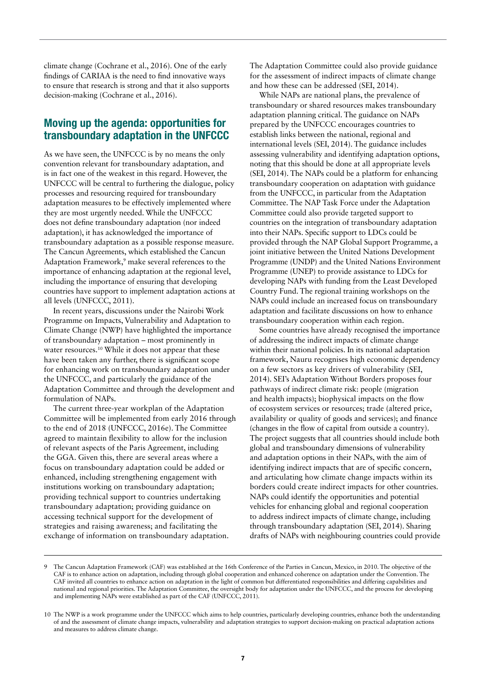climate change (Cochrane et al., 2016). One of the early findings of CARIAA is the need to find innovative ways to ensure that research is strong and that it also supports decision-making (Cochrane et al., 2016).

### Moving up the agenda: opportunities for transboundary adaptation in the UNFCCC

As we have seen, the UNFCCC is by no means the only convention relevant for transboundary adaptation, and is in fact one of the weakest in this regard. However, the UNFCCC will be central to furthering the dialogue, policy processes and resourcing required for transboundary adaptation measures to be effectively implemented where they are most urgently needed. While the UNFCCC does not define transboundary adaptation (nor indeed adaptation), it has acknowledged the importance of transboundary adaptation as a possible response measure. The Cancun Agreements, which established the Cancun Adaptation Framework,<sup>9</sup> make several references to the importance of enhancing adaptation at the regional level, including the importance of ensuring that developing countries have support to implement adaptation actions at all levels (UNFCCC, 2011).

In recent years, discussions under the Nairobi Work Programme on Impacts, Vulnerability and Adaptation to Climate Change (NWP) have highlighted the importance of transboundary adaptation – most prominently in water resources.<sup>10</sup> While it does not appear that these have been taken any further, there is significant scope for enhancing work on transboundary adaptation under the UNFCCC, and particularly the guidance of the Adaptation Committee and through the development and formulation of NAPs.

The current three-year workplan of the Adaptation Committee will be implemented from early 2016 through to the end of 2018 (UNFCCC, 2016e). The Committee agreed to maintain flexibility to allow for the inclusion of relevant aspects of the Paris Agreement, including the GGA. Given this, there are several areas where a focus on transboundary adaptation could be added or enhanced, including strengthening engagement with institutions working on transboundary adaptation; providing technical support to countries undertaking transboundary adaptation; providing guidance on accessing technical support for the development of strategies and raising awareness; and facilitating the exchange of information on transboundary adaptation.

The Adaptation Committee could also provide guidance for the assessment of indirect impacts of climate change and how these can be addressed (SEI, 2014).

While NAPs are national plans, the prevalence of transboundary or shared resources makes transboundary adaptation planning critical. The guidance on NAPs prepared by the UNFCCC encourages countries to establish links between the national, regional and international levels (SEI, 2014). The guidance includes assessing vulnerability and identifying adaptation options, noting that this should be done at all appropriate levels (SEI, 2014). The NAPs could be a platform for enhancing transboundary cooperation on adaptation with guidance from the UNFCCC, in particular from the Adaptation Committee. The NAP Task Force under the Adaptation Committee could also provide targeted support to countries on the integration of transboundary adaptation into their NAPs. Specific support to LDCs could be provided through the NAP Global Support Programme, a joint initiative between the United Nations Development Programme (UNDP) and the United Nations Environment Programme (UNEP) to provide assistance to LDCs for developing NAPs with funding from the Least Developed Country Fund. The regional training workshops on the NAPs could include an increased focus on transboundary adaptation and facilitate discussions on how to enhance transboundary cooperation within each region.

Some countries have already recognised the importance of addressing the indirect impacts of climate change within their national policies. In its national adaptation framework, Nauru recognises high economic dependency on a few sectors as key drivers of vulnerability (SEI, 2014). SEI's Adaptation Without Borders proposes four pathways of indirect climate risk: people (migration and health impacts); biophysical impacts on the flow of ecosystem services or resources; trade (altered price, availability or quality of goods and services); and finance (changes in the flow of capital from outside a country). The project suggests that all countries should include both global and transboundary dimensions of vulnerability and adaptation options in their NAPs, with the aim of identifying indirect impacts that are of specific concern, and articulating how climate change impacts within its borders could create indirect impacts for other countries. NAPs could identify the opportunities and potential vehicles for enhancing global and regional cooperation to address indirect impacts of climate change, including through transboundary adaptation (SEI, 2014). Sharing drafts of NAPs with neighbouring countries could provide

<sup>9</sup> The Cancun Adaptation Framework (CAF) was established at the 16th Conference of the Parties in Cancun, Mexico, in 2010. The objective of the CAF is to enhance action on adaptation, including through global cooperation and enhanced coherence on adaptation under the Convention. The CAF invited all countries to enhance action on adaptation in the light of common but differentiated responsibilities and differing capabilities and national and regional priorities. The Adaptation Committee, the oversight body for adaptation under the UNFCCC, and the process for developing and implementing NAPs were established as part of the CAF (UNFCCC, 2011).

<sup>10</sup> The NWP is a work programme under the UNFCCC which aims to help countries, particularly developing countries, enhance both the understanding of and the assessment of climate change impacts, vulnerability and adaptation strategies to support decision-making on practical adaptation actions and measures to address climate change.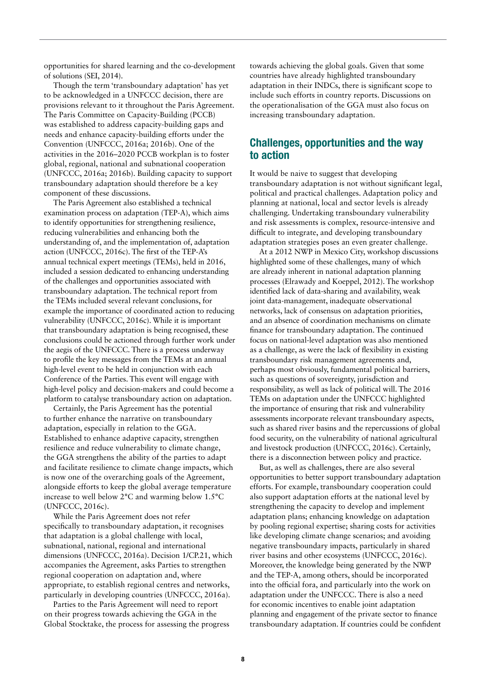opportunities for shared learning and the co-development of solutions (SEI, 2014).

Though the term 'transboundary adaptation' has yet to be acknowledged in a UNFCCC decision, there are provisions relevant to it throughout the Paris Agreement. The Paris Committee on Capacity-Building (PCCB) was established to address capacity-building gaps and needs and enhance capacity-building efforts under the Convention (UNFCCC, 2016a; 2016b). One of the activities in the 2016–2020 PCCB workplan is to foster global, regional, national and subnational cooperation (UNFCCC, 2016a; 2016b). Building capacity to support transboundary adaptation should therefore be a key component of these discussions.

The Paris Agreement also established a technical examination process on adaptation (TEP-A), which aims to identify opportunities for strengthening resilience, reducing vulnerabilities and enhancing both the understanding of, and the implementation of, adaptation action (UNFCCC, 2016c). The first of the TEP-A's annual technical expert meetings (TEMs), held in 2016, included a session dedicated to enhancing understanding of the challenges and opportunities associated with transboundary adaptation. The technical report from the TEMs included several relevant conclusions, for example the importance of coordinated action to reducing vulnerability (UNFCCC, 2016c). While it is important that transboundary adaptation is being recognised, these conclusions could be actioned through further work under the aegis of the UNFCCC. There is a process underway to profile the key messages from the TEMs at an annual high-level event to be held in conjunction with each Conference of the Parties. This event will engage with high-level policy and decision-makers and could become a platform to catalyse transboundary action on adaptation.

Certainly, the Paris Agreement has the potential to further enhance the narrative on transboundary adaptation, especially in relation to the GGA. Established to enhance adaptive capacity, strengthen resilience and reduce vulnerability to climate change, the GGA strengthens the ability of the parties to adapt and facilitate resilience to climate change impacts, which is now one of the overarching goals of the Agreement, alongside efforts to keep the global average temperature increase to well below 2°C and warming below 1.5°C (UNFCCC, 2016c).

While the Paris Agreement does not refer specifically to transboundary adaptation, it recognises that adaptation is a global challenge with local, subnational, national, regional and international dimensions (UNFCCC, 2016a). Decision 1/CP.21, which accompanies the Agreement, asks Parties to strengthen regional cooperation on adaptation and, where appropriate, to establish regional centres and networks, particularly in developing countries (UNFCCC, 2016a).

Parties to the Paris Agreement will need to report on their progress towards achieving the GGA in the Global Stocktake, the process for assessing the progress towards achieving the global goals. Given that some countries have already highlighted transboundary adaptation in their INDCs, there is significant scope to include such efforts in country reports. Discussions on the operationalisation of the GGA must also focus on increasing transboundary adaptation.

### Challenges, opportunities and the way to action

It would be naive to suggest that developing transboundary adaptation is not without significant legal, political and practical challenges. Adaptation policy and planning at national, local and sector levels is already challenging. Undertaking transboundary vulnerability and risk assessments is complex, resource-intensive and difficult to integrate, and developing transboundary adaptation strategies poses an even greater challenge.

At a 2012 NWP in Mexico City, workshop discussions highlighted some of these challenges, many of which are already inherent in national adaptation planning processes (Elrawady and Koeppel, 2012). The workshop identified lack of data-sharing and availability, weak joint data-management, inadequate observational networks, lack of consensus on adaptation priorities, and an absence of coordination mechanisms on climate finance for transboundary adaptation. The continued focus on national-level adaptation was also mentioned as a challenge, as were the lack of flexibility in existing transboundary risk management agreements and, perhaps most obviously, fundamental political barriers, such as questions of sovereignty, jurisdiction and responsibility, as well as lack of political will. The 2016 TEMs on adaptation under the UNFCCC highlighted the importance of ensuring that risk and vulnerability assessments incorporate relevant transboundary aspects, such as shared river basins and the repercussions of global food security, on the vulnerability of national agricultural and livestock production (UNFCCC, 2016c). Certainly, there is a disconnection between policy and practice.

But, as well as challenges, there are also several opportunities to better support transboundary adaptation efforts. For example, transboundary cooperation could also support adaptation efforts at the national level by strengthening the capacity to develop and implement adaptation plans; enhancing knowledge on adaptation by pooling regional expertise; sharing costs for activities like developing climate change scenarios; and avoiding negative transboundary impacts, particularly in shared river basins and other ecosystems (UNFCCC, 2016c). Moreover, the knowledge being generated by the NWP and the TEP-A, among others, should be incorporated into the official fora, and particularly into the work on adaptation under the UNFCCC. There is also a need for economic incentives to enable joint adaptation planning and engagement of the private sector to finance transboundary adaptation. If countries could be confident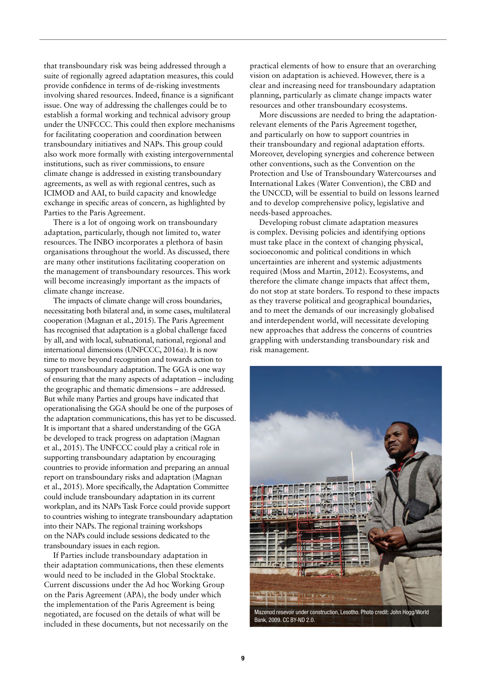that transboundary risk was being addressed through a suite of regionally agreed adaptation measures, this could provide confidence in terms of de-risking investments involving shared resources. Indeed, finance is a significant issue. One way of addressing the challenges could be to establish a formal working and technical advisory group under the UNFCCC. This could then explore mechanisms for facilitating cooperation and coordination between transboundary initiatives and NAPs. This group could also work more formally with existing intergovernmental institutions, such as river commissions, to ensure climate change is addressed in existing transboundary agreements, as well as with regional centres, such as ICIMOD and AAI, to build capacity and knowledge exchange in specific areas of concern, as highlighted by Parties to the Paris Agreement.

There is a lot of ongoing work on transboundary adaptation, particularly, though not limited to, water resources. The INBO incorporates a plethora of basin organisations throughout the world. As discussed, there are many other institutions facilitating cooperation on the management of transboundary resources. This work will become increasingly important as the impacts of climate change increase.

The impacts of climate change will cross boundaries, necessitating both bilateral and, in some cases, multilateral cooperation (Magnan et al., 2015). The Paris Agreement has recognised that adaptation is a global challenge faced by all, and with local, subnational, national, regional and international dimensions (UNFCCC, 2016a). It is now time to move beyond recognition and towards action to support transboundary adaptation. The GGA is one way of ensuring that the many aspects of adaptation – including the geographic and thematic dimensions – are addressed. But while many Parties and groups have indicated that operationalising the GGA should be one of the purposes of the adaptation communications, this has yet to be discussed. It is important that a shared understanding of the GGA be developed to track progress on adaptation (Magnan et al., 2015). The UNFCCC could play a critical role in supporting transboundary adaptation by encouraging countries to provide information and preparing an annual report on transboundary risks and adaptation (Magnan et al., 2015). More specifically, the Adaptation Committee could include transboundary adaptation in its current workplan, and its NAPs Task Force could provide support to countries wishing to integrate transboundary adaptation into their NAPs. The regional training workshops on the NAPs could include sessions dedicated to the transboundary issues in each region.

If Parties include transboundary adaptation in their adaptation communications, then these elements would need to be included in the Global Stocktake. Current discussions under the Ad hoc Working Group on the Paris Agreement (APA), the body under which the implementation of the Paris Agreement is being negotiated, are focused on the details of what will be included in these documents, but not necessarily on the practical elements of how to ensure that an overarching vision on adaptation is achieved. However, there is a clear and increasing need for transboundary adaptation planning, particularly as climate change impacts water resources and other transboundary ecosystems.

More discussions are needed to bring the adaptationrelevant elements of the Paris Agreement together, and particularly on how to support countries in their transboundary and regional adaptation efforts. Moreover, developing synergies and coherence between other conventions, such as the Convention on the Protection and Use of Transboundary Watercourses and International Lakes (Water Convention), the CBD and the UNCCD, will be essential to build on lessons learned and to develop comprehensive policy, legislative and needs-based approaches.

Developing robust climate adaptation measures is complex. Devising policies and identifying options must take place in the context of changing physical, socioeconomic and political conditions in which uncertainties are inherent and systemic adjustments required (Moss and Martin, 2012). Ecosystems, and therefore the climate change impacts that affect them, do not stop at state borders. To respond to these impacts as they traverse political and geographical boundaries, and to meet the demands of our increasingly globalised and interdependent world, will necessitate developing new approaches that address the concerns of countries grappling with understanding transboundary risk and risk management.



Mazenod resevoir under construction, Lesotho. Photo credit: John Hogg/World Bank, 2009. CC BY-ND 2.0.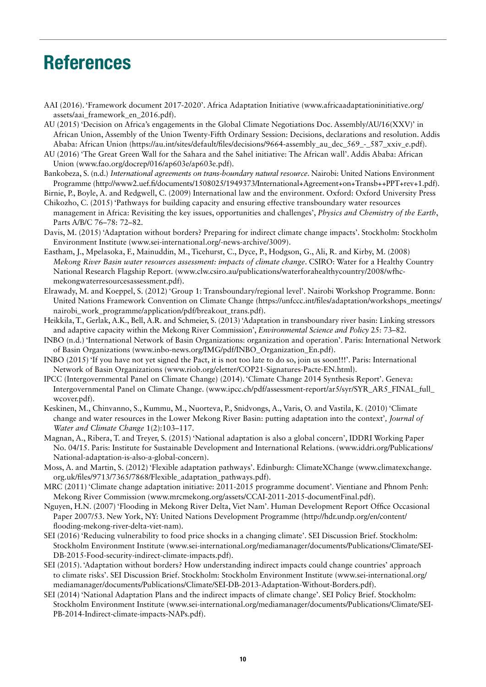# References

AAI (2016). 'Framework document 2017-2020'. Africa Adaptation Initiative ([www.africaadaptationinitiative.org/](http://www.africaadaptationinitiative.org/assets/aai_framework_en_2016.pdf).) [assets/aai\\_framework\\_en\\_2016.pdf\).](http://www.africaadaptationinitiative.org/assets/aai_framework_en_2016.pdf).)

AU (2015) 'Decision on Africa's engagements in the Global Climate Negotiations Doc. Assembly/AU/16(XXV)' in African Union, Assembly of the Union Twenty-Fifth Ordinary Session: Decisions, declarations and resolution. Addis Ababa: African Union ([https://au.int/sites/default/files/decisions/9664-assembly\\_au\\_dec\\_569\\_-\\_587\\_xxiv\\_e.pdf\).](https://au.int/sites/default/files/decisions/9664-assembly_au_dec_569_-_587_xxiv_e.pdf).)

- AU (2016) 'The Great Green Wall for the Sahara and the Sahel initiative: The African wall'. Addis Ababa: African Union ([www.fao.org/docrep/016/ap603e/ap603e.pdf\).](http://www.fao.org/docrep/016/ap603e/ap603e.pdf)
- Bankobeza, S. (n.d.) *International agreements on trans-boundary natural resource*. Nairobi: United Nations Environment Programme [\(http://www2.uef.fi/documents/1508025/1949373/International+Agreement+on+Transb++PPT+rev+1.pdf\).](http://www2.uef.fi/documents/1508025/1949373/International+Agreement+on+Transb++PPT+rev+1.pdf)

Birnie, P., Boyle, A. and Redgwell, C. (2009) International law and the environment. Oxford: Oxford University Press Chikozho, C. (2015) 'Pathways for building capacity and ensuring effective transboundary water resources

- management in Africa: Revisiting the key issues, opportunities and challenges', *Physics and Chemistry of the Earth*, Parts A/B/C 76–78: 72–82.
- Davis, M. (2015) 'Adaptation without borders? Preparing for indirect climate change impacts'. Stockholm: Stockholm Environment Institute ([www.sei-international.org/-news-archive/3009\).](https://www.sei-international.org/-news-archive/3009)
- Eastham, J., Mpelasoka, F., Mainuddin, M., Ticehurst, C., Dyce, P., Hodgson, G., Ali, R. and Kirby, M. (2008) *Mekong River Basin water resources assessment: impacts of climate change*. CSIRO: Water for a Healthy Country National Research Flagship Report. ([www.clw.csiro.au/publications/waterforahealthycountry/2008/wfhc](http://www.clw.csiro.au/publications/waterforahealthycountry/2008/wfhc-mekongwaterresourcesassessment.pdf).)[mekongwaterresourcesassessment.pdf\).](http://www.clw.csiro.au/publications/waterforahealthycountry/2008/wfhc-mekongwaterresourcesassessment.pdf).)
- Elrawady, M. and Koeppel, S. (2012) 'Group 1: Transboundary/regional level'. Nairobi Workshop Programme. Bonn: United Nations Framework Convention on Climate Change ([https://unfccc.int/files/adaptation/workshops\\_meetings/](https://unfccc.int/files/adaptation/workshops_meetings/nairobi_work_programme/application/pdf/breakout_trans.pdf) [nairobi\\_work\\_programme/application/pdf/breakout\\_trans.pdf\).](https://unfccc.int/files/adaptation/workshops_meetings/nairobi_work_programme/application/pdf/breakout_trans.pdf)
- Heikkila, T., Gerlak, A.K., Bell, A.R. and Schmeier, S. (2013) 'Adaptation in transboundary river basin: Linking stressors and adaptive capacity within the Mekong River Commission', *Environmental Science and Policy* 25: 73–82.
- INBO (n.d.) 'International Network of Basin Organizations: organization and operation'. Paris: International Network of Basin Organizations [\(www.inbo-news.org/IMG/pdf/INBO\\_Organization\\_En.pdf\).](http://www.inbo-news.org/IMG/pdf/INBO_Organization_En.pdf).)
- INBO (2015) 'If you have not yet signed the Pact, it is not too late to do so, join us soon!!!'. Paris: International Network of Basin Organizations ([www.riob.org/eletter/COP21-Signatures-Pacte-EN.html\).](http://www.riob.org/eletter/COP21-Signatures-Pacte-EN.html)
- IPCC (Intergovernmental Panel on Climate Change) (2014). 'Climate Change 2014 Synthesis Report'. Geneva: Intergovernmental Panel on Climate Change. ([www.ipcc.ch/pdf/assessment-report/ar5/syr/SYR\\_AR5\\_FINAL\\_full\\_](https://www.ipcc.ch/pdf/assessment-report/ar5/syr/SYR_AR5_FINAL_full_wcover.pdf) [wcover.pdf](https://www.ipcc.ch/pdf/assessment-report/ar5/syr/SYR_AR5_FINAL_full_wcover.pdf)).
- Keskinen, M., Chinvanno, S., Kummu, M., Nuorteva, P., Snidvongs, A., Varis, O. and Vastila, K. (2010) 'Climate change and water resources in the Lower Mekong River Basin: putting adaptation into the context'*, Journal of Water and Climate Change* 1(2):103–117.
- Magnan, A., Ribera, T. and Treyer, S. (2015) 'National adaptation is also a global concern', IDDRI Working Paper No. 04/15. Paris: Institute for Sustainable Development and International Relations. [\(www.iddri.org/Publications/](http://www.iddri.org/Publications/National-adaptation-is-also-a-global-concern) [National-adaptation-is-also-a-global-concern\).](http://www.iddri.org/Publications/National-adaptation-is-also-a-global-concern)
- Moss, A. and Martin, S. (2012) 'Flexible adaptation pathways'. Edinburgh: ClimateXChange [\(www.climatexchange.](http://www.climatexchange.org.uk/files/9713/7365/7868/Flexible_adaptation_pathways.pdf).) [org.uk/files/9713/7365/7868/Flexible\\_adaptation\\_pathways.pdf\).](http://www.climatexchange.org.uk/files/9713/7365/7868/Flexible_adaptation_pathways.pdf).)
- MRC (2011) 'Climate change adaptation initiative: 2011-2015 programme document'. Vientiane and Phnom Penh: Mekong River Commission [\(www.mrcmekong.org/assets/CCAI-2011-2015-documentFinal.pdf\).](http://www.mrcmekong.org/assets/CCAI-2011-2015-documentFinal.pdf)
- Nguyen, H.N. (2007) 'Flooding in Mekong River Delta, Viet Nam'. Human Development Report Office Occasional Paper 2007/53. New York, NY: United Nations Development Programme [\(http://hdr.undp.org/en/content/](http://hdr.undp.org/en/content/flooding-mekong-river-delta-viet-nam) [flooding-mekong-river-delta-viet-nam\).](http://hdr.undp.org/en/content/flooding-mekong-river-delta-viet-nam)
- SEI (2016) 'Reducing vulnerability to food price shocks in a changing climate'. SEI Discussion Brief. Stockholm: Stockholm Environment Institute [\(www.sei-international.org/mediamanager/documents/Publications/Climate/SEI-](https://www.sei-international.org/mediamanager/documents/Publications/Climate/SEI-DB-2015-Food-security-indirect-climate-impacts.pdf).)[DB-2015-Food-security-indirect-climate-impacts.pdf\).](https://www.sei-international.org/mediamanager/documents/Publications/Climate/SEI-DB-2015-Food-security-indirect-climate-impacts.pdf).)
- SEI (2015). 'Adaptation without borders? How understanding indirect impacts could change countries' approach to climate risks'. SEI Discussion Brief. Stockholm: Stockholm Environment Institute ([www.sei-international.org/](https://www.sei-international.org/mediamanager/documents/Publications/Climate/SEI-DB-2013-Adaptation-Without-Borders.pdf) [mediamanager/documents/Publications/Climate/SEI-DB-2013-Adaptation-Without-Borders.pdf\).](https://www.sei-international.org/mediamanager/documents/Publications/Climate/SEI-DB-2013-Adaptation-Without-Borders.pdf)
- SEI (2014) 'National Adaptation Plans and the indirect impacts of climate change'. SEI Policy Brief. Stockholm: Stockholm Environment Institute [\(www.sei-international.org/mediamanager/documents/Publications/Climate/SEI-](https://www.sei-international.org/mediamanager/documents/Publications/Climate/SEI-PB-2014-Indirect-climate-impacts-NAPs.pdf)[PB-2014-Indirect-climate-impacts-NAPs.pdf\).](https://www.sei-international.org/mediamanager/documents/Publications/Climate/SEI-PB-2014-Indirect-climate-impacts-NAPs.pdf)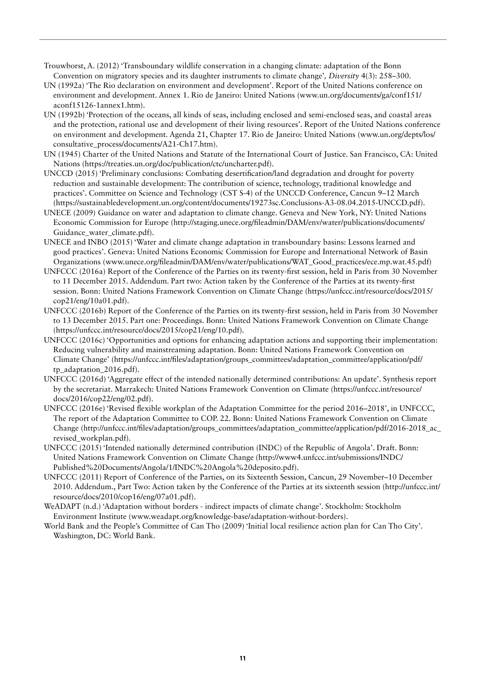- Trouwborst, A. (2012) 'Transboundary wildlife conservation in a changing climate: adaptation of the Bonn Convention on migratory species and its daughter instruments to climate change'*, Diversity* 4(3): 258–300.
- UN (1992a) 'The Rio declaration on environment and development'. Report of the United Nations conference on environment and development. Annex 1. Rio de Janeiro: United Nations [\(www.un.org/documents/ga/conf151/](http://www.un.org/documents/ga/conf151/aconf15126-1annex1.htm) [aconf15126-1annex1.htm\).](http://www.un.org/documents/ga/conf151/aconf15126-1annex1.htm)
- UN (1992b) 'Protection of the oceans, all kinds of seas, including enclosed and semi-enclosed seas, and coastal areas and the protection, rational use and development of their living resources'. Report of the United Nations conference on environment and development. Agenda 21, Chapter 17. Rio de Janeiro: United Nations [\(www.un.org/depts/los/](http://www.un.org/depts/los/consultative_process/documents/A21-Ch17.htm).) [consultative\\_process/documents/A21-Ch17.htm\).](http://www.un.org/depts/los/consultative_process/documents/A21-Ch17.htm).)
- UN (1945) Charter of the United Nations and Statute of the International Court of Justice. San Francisco, CA: United Nations ([https://treaties.un.org/doc/publication/ctc/uncharter.pdf\).](https://treaties.un.org/doc/publication/ctc/uncharter.pdf)
- UNCCD (2015) 'Preliminary conclusions: Combating desertification/land degradation and drought for poverty reduction and sustainable development: The contribution of science, technology, traditional knowledge and practices'. Committee on Science and Technology (CST S-4) of the UNCCD Conference, Cancun 9–12 March ([https://sustainabledevelopment.un.org/content/documents/19273sc.Conclusions-A3-08.04.2015-UNCCD.pdf\).](https://sustainabledevelopment.un.org/content/documents/19273sc.Conclusions-A3-08.04.2015-UNCCD.pdf)
- UNECE (2009) Guidance on water and adaptation to climate change. Geneva and New York, NY: United Nations Economic Commission for Europe ([http://staging.unece.org/fileadmin/DAM/env/water/publications/documents/](http://staging.unece.org/fileadmin/DAM/env/water/publications/documents/Guidance_water_climate.pdf).) [Guidance\\_water\\_climate.pdf\).](http://staging.unece.org/fileadmin/DAM/env/water/publications/documents/Guidance_water_climate.pdf).)
- UNECE and INBO (2015) 'Water and climate change adaptation in transboundary basins: Lessons learned and good practices'. Geneva: United Nations Economic Commission for Europe and International Network of Basin Organizations [\(www.unece.org/fileadmin/DAM/env/water/publications/WAT\\_Good\\_practices/ece.mp.wat.45.pdf\)](http://www.unece.org/fileadmin/DAM/env/water/publications/WAT_Good_practices/ece.mp.wat.45.pdf)
- UNFCCC (2016a) Report of the Conference of the Parties on its twenty-first session, held in Paris from 30 November to 11 December 2015. Addendum. Part two: Action taken by the Conference of the Parties at its twenty-first session. Bonn: United Nations Framework Convention on Climate Change ([https://unfccc.int/resource/docs/2015/](https://unfccc.int/resource/docs/2015/cop21/eng/10a01.pdf) [cop21/eng/10a01.pdf\).](https://unfccc.int/resource/docs/2015/cop21/eng/10a01.pdf)
- UNFCCC (2016b) Report of the Conference of the Parties on its twenty-first session, held in Paris from 30 November to 13 December 2015. Part one: Proceedings. Bonn: United Nations Framework Convention on Climate Change ([https://unfccc.int/resource/docs/2015/cop21/eng/10.pdf\).](https://unfccc.int/resource/docs/2015/cop21/eng/10.pdf)
- UNFCCC (2016c) 'Opportunities and options for enhancing adaptation actions and supporting their implementation: Reducing vulnerability and mainstreaming adaptation. Bonn: United Nations Framework Convention on Climate Change' ([https://unfccc.int/files/adaptation/groups\\_committees/adaptation\\_committee/application/pdf/](https://unfccc.int/files/adaptation/groups_committees/adaptation_committee/application/pdf/tp_adaptation_2016.pdf) [tp\\_adaptation\\_2016.pdf\).](https://unfccc.int/files/adaptation/groups_committees/adaptation_committee/application/pdf/tp_adaptation_2016.pdf)
- UNFCCC (2016d) 'Aggregate effect of the intended nationally determined contributions: An update'. Synthesis report by the secretariat. Marrakech: United Nations Framework Convention on Climate ([https://unfccc.int/resource/](https://unfccc.int/resource/docs/2016/cop22/eng/02.pdf) [docs/2016/cop22/eng/02.pdf\).](https://unfccc.int/resource/docs/2016/cop22/eng/02.pdf)
- UNFCCC (2016e) 'Revised flexible workplan of the Adaptation Committee for the period 2016–2018', in UNFCCC, The report of the Adaptation Committee to COP. 22. Bonn: United Nations Framework Convention on Climate Change [\(http://unfccc.int/files/adaptation/groups\\_committees/adaptation\\_committee/application/pdf/2016-2018\\_ac\\_](http://unfccc.int/files/adaptation/groups_committees/adaptation_committee/application/pdf/2016-2018_ac_revised_workplan.pdf).) [revised\\_workplan.pdf\).](http://unfccc.int/files/adaptation/groups_committees/adaptation_committee/application/pdf/2016-2018_ac_revised_workplan.pdf).)
- UNFCCC (2015) 'Intended nationally determined contribution (INDC) of the Republic of Angola'. Draft. Bonn: United Nations Framework Convention on Climate Change ([http://www4.unfccc.int/submissions/INDC/](http://www4.unfccc.int/submissions/INDC/Published%20Documents/Angola/1/INDC%20Angola%20deposito.pdf) [Published%20Documents/Angola/1/INDC%20Angola%20deposito.pdf\).](http://www4.unfccc.int/submissions/INDC/Published%20Documents/Angola/1/INDC%20Angola%20deposito.pdf)
- UNFCCC (2011) Report of Conference of the Parties, on its Sixteenth Session, Cancun, 29 November–10 December 2010. Addendum., Part Two: Action taken by the Conference of the Parties at its sixteenth session ([http://unfccc.int/](http://unfccc.int/resource/docs/2010/cop16/eng/07a01.pdf) [resource/docs/2010/cop16/eng/07a01.pdf\).](http://unfccc.int/resource/docs/2010/cop16/eng/07a01.pdf)
- WeADAPT (n.d.) 'Adaptation without borders indirect impacts of climate change'. Stockholm: Stockholm Environment Institute ([www.weadapt.org/knowledge-base/adaptation-without-borders\).](https://www.weadapt.org/knowledge-base/adaptation-without-borders).)
- World Bank and the People's Committee of Can Tho (2009) 'Initial local resilience action plan for Can Tho City'. Washington, DC: World Bank.